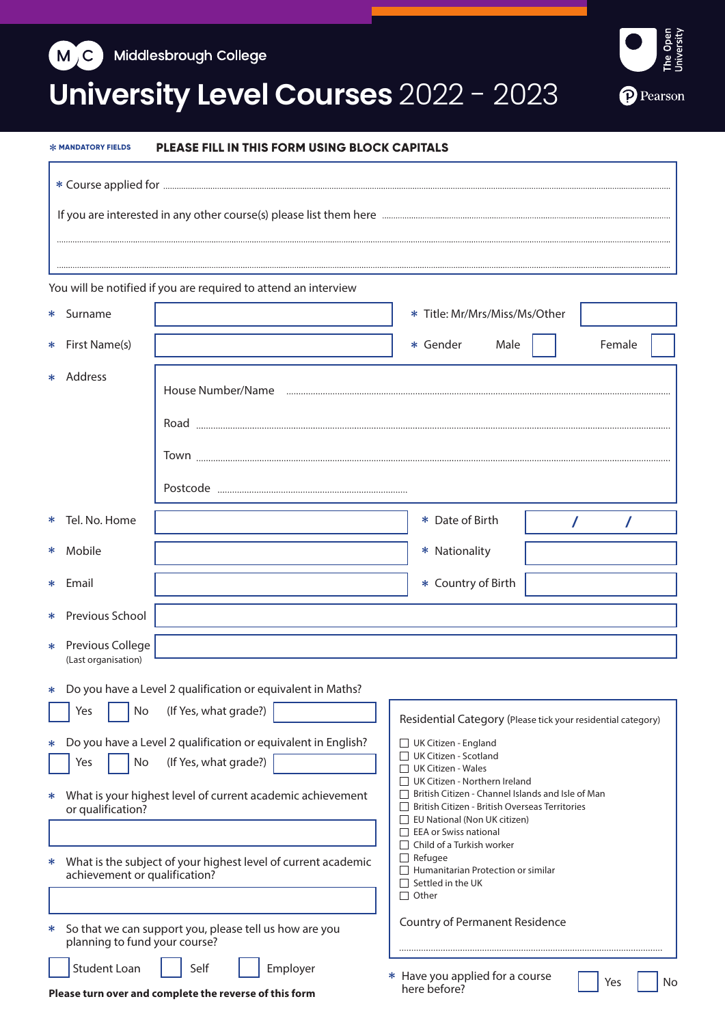

# **University Level Courses 2022 - 2023**



#### **PLEASE FILL IN THIS FORM USING BLOCK CAPITALS** \* **MANDATORY FIELDS**

#### You will be notified if you are required to attend an interview

| *.                                                                                                       | Surname                                                                         |                                                             |  | * Title: Mr/Mrs/Miss/Ms/Other                                                                                                                                                            |      |  |  |        |  |
|----------------------------------------------------------------------------------------------------------|---------------------------------------------------------------------------------|-------------------------------------------------------------|--|------------------------------------------------------------------------------------------------------------------------------------------------------------------------------------------|------|--|--|--------|--|
| *                                                                                                        | First Name(s)                                                                   |                                                             |  | * Gender                                                                                                                                                                                 | Male |  |  | Female |  |
| ∗                                                                                                        | Address                                                                         |                                                             |  |                                                                                                                                                                                          |      |  |  |        |  |
|                                                                                                          |                                                                                 |                                                             |  |                                                                                                                                                                                          |      |  |  |        |  |
|                                                                                                          |                                                                                 |                                                             |  |                                                                                                                                                                                          |      |  |  |        |  |
|                                                                                                          |                                                                                 |                                                             |  |                                                                                                                                                                                          |      |  |  |        |  |
| ∗                                                                                                        | Tel. No. Home                                                                   |                                                             |  | * Date of Birth                                                                                                                                                                          |      |  |  |        |  |
| ∗                                                                                                        | Mobile                                                                          |                                                             |  | * Nationality                                                                                                                                                                            |      |  |  |        |  |
|                                                                                                          | * Email                                                                         |                                                             |  | * Country of Birth                                                                                                                                                                       |      |  |  |        |  |
| ∗                                                                                                        | Previous School                                                                 |                                                             |  |                                                                                                                                                                                          |      |  |  |        |  |
| ∗                                                                                                        | Previous College<br>(Last organisation)                                         |                                                             |  |                                                                                                                                                                                          |      |  |  |        |  |
| $\ast$                                                                                                   |                                                                                 | Do you have a Level 2 qualification or equivalent in Maths? |  |                                                                                                                                                                                          |      |  |  |        |  |
|                                                                                                          | No<br>Yes                                                                       | (If Yes, what grade?)                                       |  | Residential Category (Please tick your residential category)                                                                                                                             |      |  |  |        |  |
| Do you have a Level 2 qualification or equivalent in English?<br>∗<br>No<br>(If Yes, what grade?)<br>Yes |                                                                                 |                                                             |  | $\Box$ UK Citizen - England<br>UK Citizen - Scotland<br>□ UK Citizen - Wales<br>$\Box$ UK Citizen - Northern Ireland                                                                     |      |  |  |        |  |
| $\ast$                                                                                                   | What is your highest level of current academic achievement<br>or qualification? |                                                             |  | $\Box$ British Citizen - Channel Islands and Isle of Man<br>$\Box$ British Citizen - British Overseas Territories<br>$\Box$ EU National (Non UK citizen)<br>$\Box$ EEA or Swiss national |      |  |  |        |  |
| What is the subject of your highest level of current academic<br>∗<br>achievement or qualification?      |                                                                                 |                                                             |  | $\Box$ Child of a Turkish worker<br>$\Box$ Refugee<br>$\Box$ Humanitarian Protection or similar<br>$\Box$ Settled in the UK<br>$\Box$ Other                                              |      |  |  |        |  |

 $\ast$ So that we can support you, please tell us how are you planning to fund your course?

Student Loan | | Self | | Employer

**Please turn over and complete the reverse of this form**

 $*$  Have you applied for a course  $\Box$  Yes  $\Box$  No here before?

Country of Permanent Residence